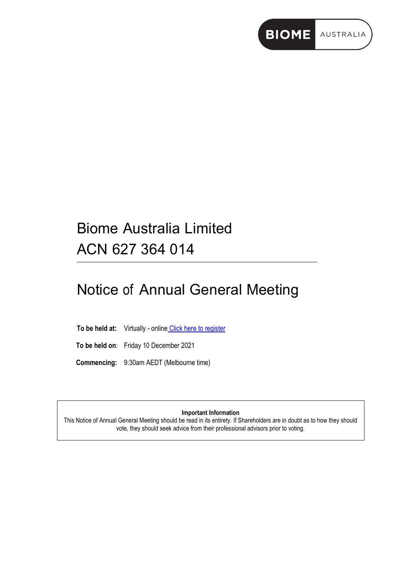

## Biome Australia Limited ACN 627 364 014

# Notice of Annual General Meeting

To be held at: Virtually - online [Click here to register](https://biomeaustralia.com/AGM2021)

**To be held on**: Friday 10 December 2021

**Commencing:** 9:30am AEDT (Melbourne time)

**Important Information**

This Notice of Annual General Meeting should be read in its entirety. If Shareholders are in doubt as to how they should vote, they should seek advice from their professional advisors prior to voting.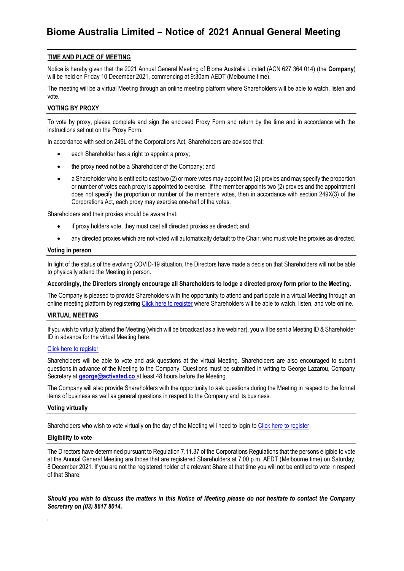## **TIME AND PLACE OF MEETING**

Notice is hereby given that the 2021 Annual General Meeting of Biome Australia Limited (ACN 627 364 014) (the **Company**) will be held on Friday 10 December 2021, commencing at 9:30am AEDT (Melbourne time).

The meeting will be a virtual Meeting through an online meeting platform where Shareholders will be able to watch, listen and vote.

#### **VOTING BY PROXY**

To vote by proxy, please complete and sign the enclosed Proxy Form and return by the time and in accordance with the instructions set out on the Proxy Form.

In accordance with section 249L of the Corporations Act, Shareholders are advised that:

- each Shareholder has a right to appoint a proxy;
- the proxy need not be a Shareholder of the Company; and
- a Shareholder who is entitled to cast two (2) or more votes may appoint two (2) proxies and may specify the proportion or number of votes each proxy is appointed to exercise. If the member appoints two (2) proxies and the appointment does not specify the proportion or number of the member's votes, then in accordance with section 249X(3) of the Corporations Act, each proxy may exercise one-half of the votes.

Shareholders and their proxies should be aware that:

- if proxy holders vote, they must cast all directed proxies as directed; and
- any directed proxies which are not voted will automatically default to the Chair, who must vote the proxies as directed.

#### **Voting in person**

In light of the status of the evolving COVID-19 situation, the Directors have made a decision that Shareholders will not be able to physically attend the Meeting in person.

#### **Accordingly, the Directors strongly encourage all Shareholders to lodge a directed proxy form prior to the Meeting.**

The Company is pleased to provide Shareholders with the opportunity to attend and participate in a virtual Meeting through an online meeting platform by registering [Click here to register](https://biomeaustralia.com/AGM2021) where Shareholders will be able to watch, listen, and vote online.

#### **VIRTUAL MEETING**

If you wish to virtually attend the Meeting (which will be broadcast as a live webinar), you will be sent a Meeting ID & Shareholder ID in advance for the virtual Meeting here:

#### [Click here to register](https://biomeaustralia.com/AGM2021)

Shareholders will be able to vote and ask questions at the virtual Meeting. Shareholders are also encouraged to submit questions in advance of the Meeting to the Company. Questions must be submitted in writing to George Lazarou, Company Secretary at **[george@activated.co](mailto:george@activated.co)** at least 48 hours before the Meeting.

The Company will also provide Shareholders with the opportunity to ask questions during the Meeting in respect to the formal items of business as well as general questions in respect to the Company and its business.

#### **Voting virtually**

Shareholders who wish to vote virtually on the day of the Meeting will need to login to Click [here to register.](https://biomeaustralia.com/AGM2021)

#### **Eligibility to vote**

.

The Directors have determined pursuant to Regulation 7.11.37 of the Corporations Regulations that the persons eligible to vote at the Annual General Meeting are those that are registered Shareholders at 7:00 p.m. AEDT (Melbourne time) on Saturday, 8 December 2021. If you are not the registered holder of a relevant Share at that time you will not be entitled to vote in respect of that Share.

*Should you wish to discuss the matters in this Notice of Meeting please do not hesitate to contact the Company Secretary on (03) 8617 8014.*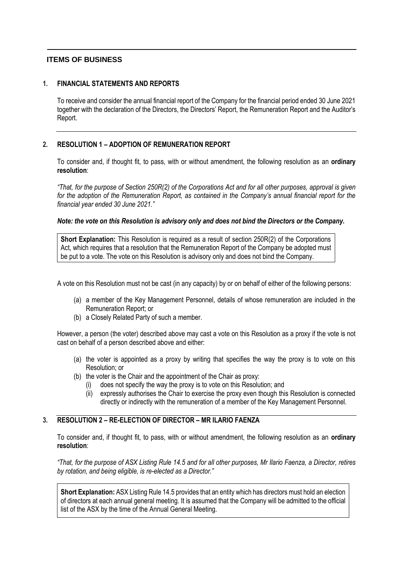## **ITEMS OF BUSINESS**

## **1. FINANCIAL STATEMENTS AND REPORTS**

To receive and consider the annual financial report of the Company for the financial period ended 30 June 2021 together with the declaration of the Directors, the Directors' Report, the Remuneration Report and the Auditor's Report.

## **2. RESOLUTION 1 – ADOPTION OF REMUNERATION REPORT**

To consider and, if thought fit, to pass, with or without amendment, the following resolution as an **ordinary resolution**:

*"That, for the purpose of Section 250R(2) of the Corporations Act and for all other purposes, approval is given for the adoption of the Remuneration Report, as contained in the Company's annual financial report for the financial year ended 30 June 2021."*

## *Note: the vote on this Resolution is advisory only and does not bind the Directors or the Company.*

**Short Explanation:** This Resolution is required as a result of section 250R(2) of the Corporations Act, which requires that a resolution that the Remuneration Report of the Company be adopted must be put to a vote. The vote on this Resolution is advisory only and does not bind the Company.

A vote on this Resolution must not be cast (in any capacity) by or on behalf of either of the following persons:

- (a) a member of the Key Management Personnel, details of whose remuneration are included in the Remuneration Report; or
- (b) a Closely Related Party of such a member.

However, a person (the voter) described above may cast a vote on this Resolution as a proxy if the vote is not cast on behalf of a person described above and either:

- (a) the voter is appointed as a proxy by writing that specifies the way the proxy is to vote on this Resolution; or
- (b) the voter is the Chair and the appointment of the Chair as proxy:
	- (i) does not specify the way the proxy is to vote on this Resolution; and
	- (ii) expressly authorises the Chair to exercise the proxy even though this Resolution is connected directly or indirectly with the remuneration of a member of the Key Management Personnel.

## **3. RESOLUTION 2 – RE-ELECTION OF DIRECTOR – MR ILARIO FAENZA**

To consider and, if thought fit, to pass, with or without amendment, the following resolution as an **ordinary resolution**:

*"That, for the purpose of ASX Listing Rule 14.5 and for all other purposes, Mr Ilario Faenza, a Director, retires by rotation, and being eligible, is re-elected as a Director."*

**Short Explanation:** ASX Listing Rule 14.5 provides that an entity which has directors must hold an election of directors at each annual general meeting. It is assumed that the Company will be admitted to the official list of the ASX by the time of the Annual General Meeting.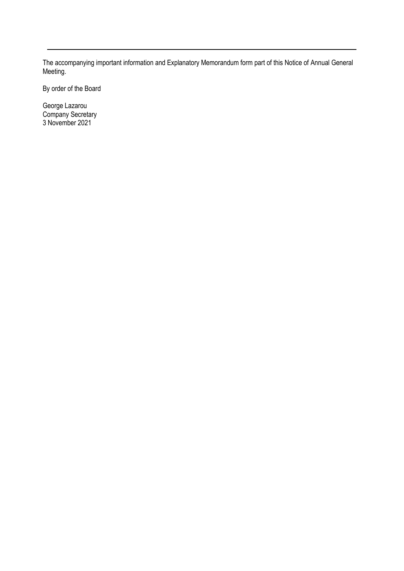The accompanying important information and Explanatory Memorandum form part of this Notice of Annual General Meeting.

By order of the Board

George Lazarou Company Secretary 3 November 2021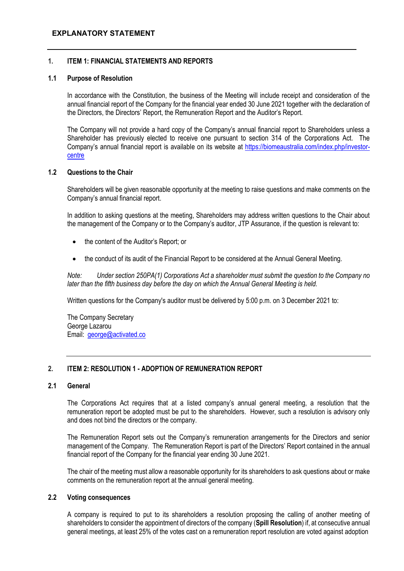## **1. ITEM 1: FINANCIAL STATEMENTS AND REPORTS**

## **1.1 Purpose of Resolution**

In accordance with the Constitution, the business of the Meeting will include receipt and consideration of the annual financial report of the Company for the financial year ended 30 June 2021 together with the declaration of the Directors, the Directors' Report, the Remuneration Report and the Auditor's Report.

The Company will not provide a hard copy of the Company's annual financial report to Shareholders unless a Shareholder has previously elected to receive one pursuant to section 314 of the Corporations Act. The Company's annual financial report is available on its website at [https://biomeaustralia.com/index.php/investor](https://biomeaustralia.com/index.php/investor-centre)[centre](https://biomeaustralia.com/index.php/investor-centre)

## **1.2 Questions to the Chair**

Shareholders will be given reasonable opportunity at the meeting to raise questions and make comments on the Company's annual financial report.

In addition to asking questions at the meeting, Shareholders may address written questions to the Chair about the management of the Company or to the Company's auditor, JTP Assurance, if the question is relevant to:

- the content of the Auditor's Report; or
- the conduct of its audit of the Financial Report to be considered at the Annual General Meeting.

*Note: Under section 250PA(1) Corporations Act a shareholder must submit the question to the Company no later than the fifth business day before the day on which the Annual General Meeting is held.*

Written questions for the Company's auditor must be delivered by 5:00 p.m. on [3](https://protect-au.mimecast.com/s/4YlyCjZ1YBSYp1MxtW7QNA?domain=web.lumiagm.com) December 2021 to:

The Company Secretary George Lazarou Email: [george@activated.co](mailto:george@activated.co)

## **2. ITEM 2: RESOLUTION 1 - ADOPTION OF REMUNERATION REPORT**

## **2.1 General**

The Corporations Act requires that at a listed company's annual general meeting, a resolution that the remuneration report be adopted must be put to the shareholders. However, such a resolution is advisory only and does not bind the directors or the company.

The Remuneration Report sets out the Company's remuneration arrangements for the Directors and senior management of the Company. The Remuneration Report is part of the Directors' Report contained in the annual financial report of the Company for the financial year ending 30 June 2021.

The chair of the meeting must allow a reasonable opportunity for its shareholders to ask questions about or make comments on the remuneration report at the annual general meeting.

## **2.2 Voting consequences**

A company is required to put to its shareholders a resolution proposing the calling of another meeting of shareholders to consider the appointment of directors of the company (**Spill Resolution**) if, at consecutive annual general meetings, at least 25% of the votes cast on a remuneration report resolution are voted against adoption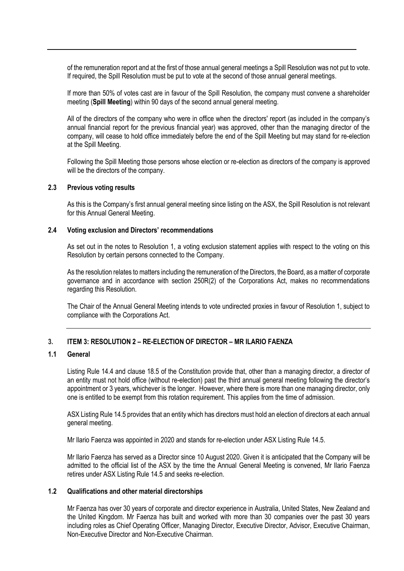of the remuneration report and at the first of those annual general meetings a Spill Resolution was not put to vote. If required, the Spill Resolution must be put to vote at the second of those annual general meetings.

If more than 50% of votes cast are in favour of the Spill Resolution, the company must convene a shareholder meeting (**Spill Meeting**) within 90 days of the second annual general meeting.

All of the directors of the company who were in office when the directors' report (as included in the company's annual financial report for the previous financial year) was approved, other than the managing director of the company, will cease to hold office immediately before the end of the Spill Meeting but may stand for re-election at the Spill Meeting.

Following the Spill Meeting those persons whose election or re-election as directors of the company is approved will be the directors of the company.

## **2.3 Previous voting results**

As this is the Company's first annual general meeting since listing on the ASX, the Spill Resolution is not relevant for this Annual General Meeting.

## **2.4 Voting exclusion and Directors' recommendations**

As set out in the notes to Resolution 1, a voting exclusion statement applies with respect to the voting on this Resolution by certain persons connected to the Company.

As the resolution relates to matters including the remuneration of the Directors, the Board, as a matter of corporate governance and in accordance with section 250R(2) of the Corporations Act, makes no recommendations regarding this Resolution.

The Chair of the Annual General Meeting intends to vote undirected proxies in favour of Resolution 1, subject to compliance with the Corporations Act.

## **3. ITEM 3: RESOLUTION 2 – RE-ELECTION OF DIRECTOR – MR ILARIO FAENZA**

## **1.1 General**

Listing Rule 14.4 and clause 18.5 of the Constitution provide that, other than a managing director, a director of an entity must not hold office (without re-election) past the third annual general meeting following the director's appointment or 3 years, whichever is the longer. However, where there is more than one managing director, only one is entitled to be exempt from this rotation requirement. This applies from the time of admission.

ASX Listing Rule 14.5 provides that an entity which has directors must hold an election of directors at each annual general meeting.

Mr Ilario Faenza was appointed in 2020 and stands for re-election under ASX Listing Rule 14.5.

Mr Ilario Faenza has served as a Director since 10 August 2020. Given it is anticipated that the Company will be admitted to the official list of the ASX by the time the Annual General Meeting is convened, Mr Ilario Faenza retires under ASX Listing Rule 14.5 and seeks re-election.

## **1.2 Qualifications and other material directorships**

Mr Faenza has over 30 years of corporate and director experience in Australia, United States, New Zealand and the United Kingdom. Mr Faenza has built and worked with more than 30 companies over the past 30 years including roles as Chief Operating Officer, Managing Director, Executive Director, Advisor, Executive Chairman, Non-Executive Director and Non-Executive Chairman.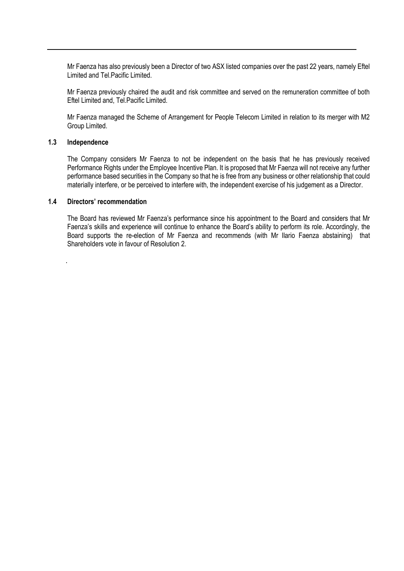Mr Faenza has also previously been a Director of two ASX listed companies over the past 22 years, namely Eftel Limited and Tel.Pacific Limited.

Mr Faenza previously chaired the audit and risk committee and served on the remuneration committee of both Eftel Limited and, Tel.Pacific Limited.

Mr Faenza managed the Scheme of Arrangement for People Telecom Limited in relation to its merger with M2 Group Limited.

## **1.3 Independence**

.

The Company considers Mr Faenza to not be independent on the basis that he has previously received Performance Rights under the Employee Incentive Plan. It is proposed that Mr Faenza will not receive any further performance based securities in the Company so that he is free from any business or other relationship that could materially interfere, or be perceived to interfere with, the independent exercise of his judgement as a Director.

## **1.4 Directors' recommendation**

The Board has reviewed Mr Faenza's performance since his appointment to the Board and considers that Mr Faenza's skills and experience will continue to enhance the Board's ability to perform its role. Accordingly, the Board supports the re-election of Mr Faenza and recommends (with Mr Ilario Faenza abstaining) that Shareholders vote in favour of Resolution 2.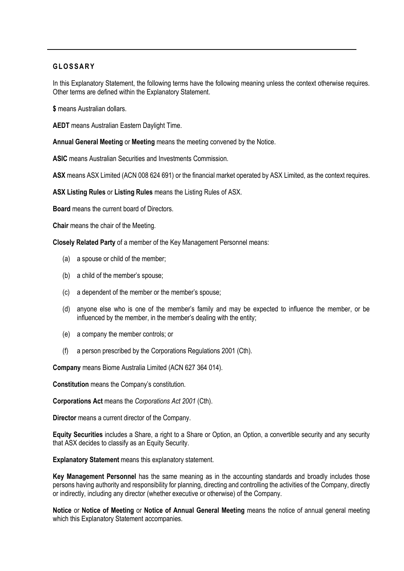## **GL O S S A R Y**

In this Explanatory Statement, the following terms have the following meaning unless the context otherwise requires. Other terms are defined within the Explanatory Statement.

**\$** means Australian dollars.

**AEDT** means Australian Eastern Daylight Time.

**Annual General Meeting** or **Meeting** means the meeting convened by the Notice.

**ASIC** means Australian Securities and Investments Commission.

**ASX** means ASX Limited (ACN 008 624 691) or the financial market operated by ASX Limited, as the context requires.

**ASX Listing Rules** or **Listing Rules** means the Listing Rules of ASX.

**Board** means the current board of Directors.

**Chair** means the chair of the Meeting.

**Closely Related Party** of a member of the Key Management Personnel means:

- (a) a spouse or child of the member;
- (b) a child of the member's spouse;
- (c) a dependent of the member or the member's spouse;
- (d) anyone else who is one of the member's family and may be expected to influence the member, or be influenced by the member, in the member's dealing with the entity;
- (e) a company the member controls; or
- (f) a person prescribed by the Corporations Regulations 2001 (Cth).

**Company** means Biome Australia Limited (ACN 627 364 014).

**Constitution** means the Company's constitution.

**Corporations Act** means the *Corporations Act 2001* (Cth).

**Director** means a current director of the Company.

**Equity Securities** includes a Share, a right to a Share or Option, an Option, a convertible security and any security that ASX decides to classify as an Equity Security.

**Explanatory Statement** means this explanatory statement.

**Key Management Personnel** has the same meaning as in the accounting standards and broadly includes those persons having authority and responsibility for planning, directing and controlling the activities of the Company, directly or indirectly, including any director (whether executive or otherwise) of the Company.

**Notice** or **Notice of Meeting** or **Notice of Annual General Meeting** means the notice of annual general meeting which this Explanatory Statement accompanies.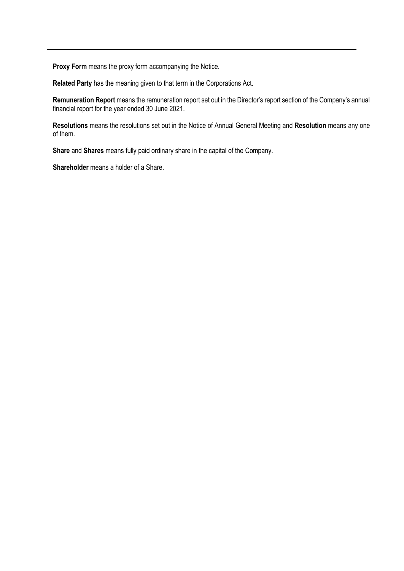**Proxy Form** means the proxy form accompanying the Notice.

**Related Party** has the meaning given to that term in the Corporations Act.

**Remuneration Report** means the remuneration report set out in the Director's report section of the Company's annual financial report for the year ended 30 June 2021.

**Resolutions** means the resolutions set out in the Notice of Annual General Meeting and **Resolution** means any one of them.

**Share** and **Shares** means fully paid ordinary share in the capital of the Company.

**Shareholder** means a holder of a Share.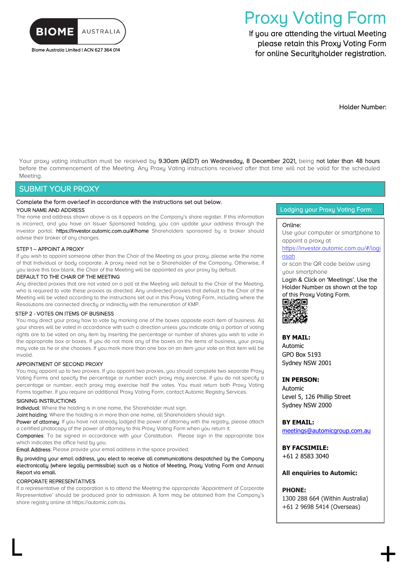

Biome Australia Limited | ACN 627 364 014

# Proxy Voting Form

If you are attending the virtual Meeting please retain this Proxy Voting Form for online Securityholder registration.

Holder Number:

Your proxy voting instruction must be received by 9.30am (AEDT) on Wednesday, 8 December 2021, being not later than 48 hours before the commencement of the Meeting. Any Proxy Voting instructions received after that time will not be valid for the scheduled Meeting.

## SUBMIT YOUR PROXY

#### Complete the form overleaf in accordance with the instructions set out below.

#### YOUR NAME AND ADDRESS

The name and address shown above is as it appears on the Company's share register. If this information is incorrect, and you have an Issuer Sponsored holding, you can update your address through the investor portal: https://investor.automic.com.au/#/home Shareholders sponsored by a broker should advise their broker of any changes.

#### STEP 1 – APPOINT A PROXY

If you wish to appoint someone other than the Chair of the Meeting as your proxy, please write the name of that Individual or body corporate. A proxy need not be a Shareholder of the Company. Otherwise, if you leave this box blank, the Chair of the Meeting will be appointed as your proxy by default.

#### DEFAULT TO THE CHAIR OF THE MEETING

Any directed proxies that are not voted on a poll at the Meeting will default to the Chair of the Meeting, who is required to vote these proxies as directed. Any undirected proxies that default to the Chair of the Meeting will be voted according to the instructions set out in this Proxy Voting Form, including where the Resolutions are connected directly or indirectly with the remuneration of KMP.

#### STEP 2 - VOTES ON ITEMS OF BUSINESS

You may direct your proxy how to vote by marking one of the boxes opposite each item of business. All your shares will be voted in accordance with such a direction unless you indicate only a portion of voting rights are to be voted on any item by inserting the percentage or number of shares you wish to vote in the appropriate box or boxes. If you do not mark any of the boxes on the items of business, your proxy may vote as he or she chooses. If you mark more than one box on an item your vote on that item will be invalid.

#### APPOINTMENT OF SECOND PROXY

You may appoint up to two proxies. If you appoint two proxies, you should complete two separate Proxy Voting Forms and specify the percentage or number each proxy may exercise. If you do not specify a percentage or number, each proxy may exercise half the votes. You must return both Proxy Voting Forms together. If you require an additional Proxy Voting Form, contact Automic Registry Services.

#### SIGNING INSTRUCTIONS

Individual: Where the holding is in one name, the Shareholder must sign.

Joint holding: Where the holding is in more than one name, all Shareholders should sign.

Power of attorney: If you have not already lodged the power of attorney with the registry, please attach a certified photocopy of the power of attorney to this Proxy Voting Form when you return it.

Companies: To be signed in accordance with your Constitution. Please sign in the appropriate box which indicates the office held by you.

Email Address: Please provide your email address in the space provided.

#### By providing your email address, you elect to receive all communications despatched by the Company electronically (where legally permissible) such as a Notice of Meeting, Proxy Voting Form and Annual Report via email.

#### CORPORATE REPRESENTATIVES

If a representative of the corporation is to attend the Meeting the appropriate 'Appointment of Corporate Representative' should be produced prior to admission. A form may be obtained from the Company's share registry online at https://automic.com.au.

 $\Box$ 

#### Lodging your Proxy Voting Form:

#### Online:

Use your computer or smartphone to appoint a proxy at

[https://investor.automic.com.au/#/logi](https://investor.automic.com.au/#/loginsah) [nsah](https://investor.automic.com.au/#/loginsah)

or scan the QR code below using your smartphone

Login & Click on 'Meetings'. Use the Holder Number as shown at the top of this Proxy Voting Form.<br>■按照图



#### **BY MAIL:**

Automic GPO Box 5193 Sydney NSW 2001

#### **IN PERSON:**

Automic Level 5, 126 Phillip Street Sydney NSW 2000

**BY EMAIL:** [meetings@automicgroup.com.au](mailto:meetings@automicgroup.com.au)

**BY FACSIMILE:** +61 2 8583 3040

**All enquiries to Automic:**

#### **PHONE:**

1300 288 664 (Within Australia) +61 2 9698 5414 (Overseas)